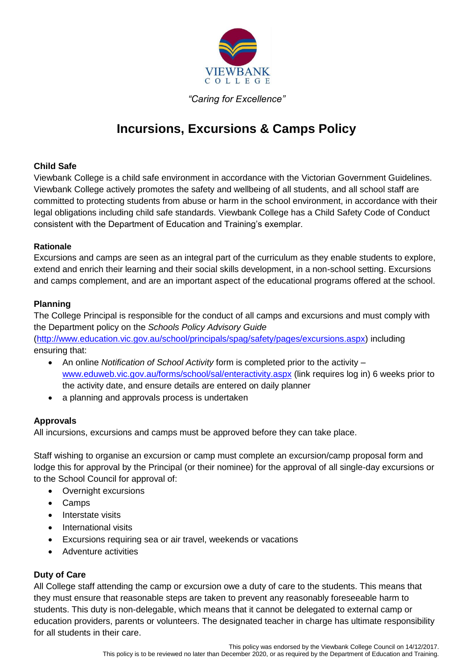

## *"Caring for Excellence"*

# **Incursions, Excursions & Camps Policy**

## **Child Safe**

Viewbank College is a child safe environment in accordance with the Victorian Government Guidelines. Viewbank College actively promotes the safety and wellbeing of all students, and all school staff are committed to protecting students from abuse or harm in the school environment, in accordance with their legal obligations including child safe standards. Viewbank College has a Child Safety Code of Conduct consistent with the Department of Education and Training's exemplar.

## **Rationale**

Excursions and camps are seen as an integral part of the curriculum as they enable students to explore, extend and enrich their learning and their social skills development, in a non-school setting. Excursions and camps complement, and are an important aspect of the educational programs offered at the school.

## **Planning**

The College Principal is responsible for the conduct of all camps and excursions and must comply with the Department policy on the *Schools Policy Advisory Guide* 

[\(http://www.education.vic.gov.au/school/principals/spag/safety/pages/excursions.aspx\)](http://www.education.vic.gov.au/school/principals/spag/safety/pages/excursions.aspx) including ensuring that:

- An online *Notification of School Activity* form is completed prior to the activity [www.eduweb.vic.gov.au/forms/school/sal/enteractivity.aspx](http://www.eduweb.vic.gov.au/forms/school/sal/enteractivity.aspx) (link requires log in) 6 weeks prior to the activity date, and ensure details are entered on daily planner
- a planning and approvals process is undertaken

## **Approvals**

All incursions, excursions and camps must be approved before they can take place.

Staff wishing to organise an excursion or camp must complete an excursion/camp proposal form and lodge this for approval by the Principal (or their nominee) for the approval of all single-day excursions or to the School Council for approval of:

- Overnight excursions
- Camps
- Interstate visits
- International visits
- Excursions requiring sea or air travel, weekends or vacations
- Adventure activities

## **Duty of Care**

All College staff attending the camp or excursion owe a duty of care to the students. This means that they must ensure that reasonable steps are taken to prevent any reasonably foreseeable harm to students. This duty is non-delegable, which means that it cannot be delegated to external camp or education providers, parents or volunteers. The designated teacher in charge has ultimate responsibility for all students in their care.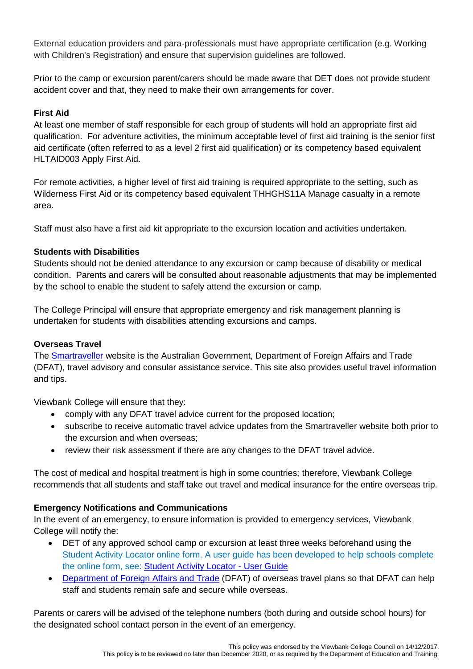External education providers and para-professionals must have appropriate certification (e.g. Working with Children's Registration) and ensure that supervision guidelines are followed.

Prior to the camp or excursion parent/carers should be made aware that DET does not provide student accident cover and that, they need to make their own arrangements for cover.

## **First Aid**

At least one member of staff responsible for each group of students will hold an appropriate first aid qualification. For adventure activities, the minimum acceptable level of first aid training is the senior first aid certificate (often referred to as a level 2 first aid qualification) or its competency based equivalent HLTAID003 Apply First Aid.

For remote activities, a higher level of first aid training is required appropriate to the setting, such as Wilderness First Aid or its competency based equivalent THHGHS11A Manage casualty in a remote area.

Staff must also have a first aid kit appropriate to the excursion location and activities undertaken.

## **Students with Disabilities**

Students should not be denied attendance to any excursion or camp because of disability or medical condition. Parents and carers will be consulted about reasonable adjustments that may be implemented by the school to enable the student to safely attend the excursion or camp.

The College Principal will ensure that appropriate emergency and risk management planning is undertaken for students with disabilities attending excursions and camps.

## **Overseas Travel**

The [Smartraveller](http://www.smartraveller.gov.au/) website is the Australian Government, Department of Foreign Affairs and Trade (DFAT), travel advisory and consular assistance service. This site also provides useful travel information and tips.

Viewbank College will ensure that they:

- comply with any DFAT travel advice current for the proposed location;
- subscribe to receive automatic travel advice updates from the Smartraveller website both prior to the excursion and when overseas;
- review their risk assessment if there are any changes to the DFAT travel advice.

The cost of medical and hospital treatment is high in some countries; therefore, Viewbank College recommends that all students and staff take out travel and medical insurance for the entire overseas trip.

## **Emergency Notifications and Communications**

In the event of an emergency, to ensure information is provided to emergency services, Viewbank College will notify the:

- DET of any approved school camp or excursion at least three weeks beforehand using the [Student Activity Locator online form.](https://www.eduweb.vic.gov.au/forms/school/sal/Default.asp) A user guide has been developed to help schools complete the online form, see: **Student Activity Locator - User Guide**
- [Department of Foreign Affairs and Trade](https://www.orao.dfat.gov.au/orao/weborao.nsf/Homeform?Openform) (DFAT) of overseas travel plans so that DFAT can help staff and students remain safe and secure while overseas.

Parents or carers will be advised of the telephone numbers (both during and outside school hours) for the designated school contact person in the event of an emergency.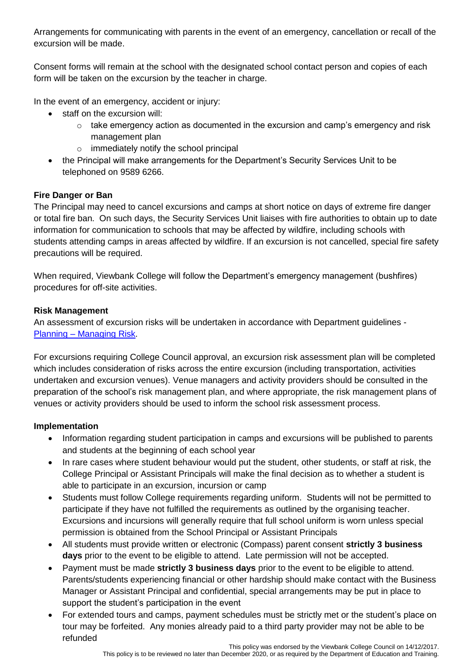Arrangements for communicating with parents in the event of an emergency, cancellation or recall of the excursion will be made.

Consent forms will remain at the school with the designated school contact person and copies of each form will be taken on the excursion by the teacher in charge.

In the event of an emergency, accident or injury:

- staff on the excursion will:
	- $\circ$  take emergency action as documented in the excursion and camp's emergency and risk management plan
	- o immediately notify the school principal
- the Principal will make arrangements for the Department's Security Services Unit to be telephoned on 9589 6266.

## **Fire Danger or Ban**

The Principal may need to cancel excursions and camps at short notice on days of extreme fire danger or total fire ban. On such days, the Security Services Unit liaises with fire authorities to obtain up to date information for communication to schools that may be affected by wildfire, including schools with students attending camps in areas affected by wildfire. If an excursion is not cancelled, special fire safety precautions will be required.

When required, Viewbank College will follow the Department's emergency management (bushfires) procedures for off-site activities.

## **Risk Management**

An assessment of excursion risks will be undertaken in accordance with Department guidelines - Planning – [Managing Risk.](http://www.education.vic.gov.au/school/principals/health/Pages/outdoorrisk.aspx)

For excursions requiring College Council approval, an excursion risk assessment plan will be completed which includes consideration of risks across the entire excursion (including transportation, activities undertaken and excursion venues). Venue managers and activity providers should be consulted in the preparation of the school's risk management plan, and where appropriate, the risk management plans of venues or activity providers should be used to inform the school risk assessment process.

## **Implementation**

- Information regarding student participation in camps and excursions will be published to parents and students at the beginning of each school year
- In rare cases where student behaviour would put the student, other students, or staff at risk, the College Principal or Assistant Principals will make the final decision as to whether a student is able to participate in an excursion, incursion or camp
- Students must follow College requirements regarding uniform. Students will not be permitted to participate if they have not fulfilled the requirements as outlined by the organising teacher. Excursions and incursions will generally require that full school uniform is worn unless special permission is obtained from the School Principal or Assistant Principals
- All students must provide written or electronic (Compass) parent consent **strictly 3 business days** prior to the event to be eligible to attend. Late permission will not be accepted.
- Payment must be made **strictly 3 business days** prior to the event to be eligible to attend. Parents/students experiencing financial or other hardship should make contact with the Business Manager or Assistant Principal and confidential, special arrangements may be put in place to support the student's participation in the event
- For extended tours and camps, payment schedules must be strictly met or the student's place on tour may be forfeited. Any monies already paid to a third party provider may not be able to be refunded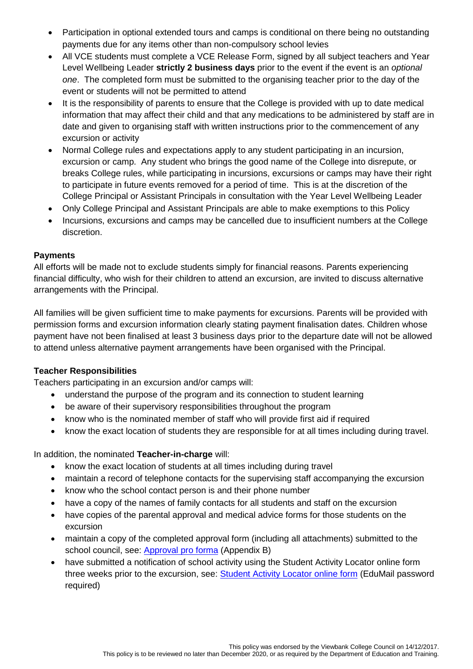- Participation in optional extended tours and camps is conditional on there being no outstanding payments due for any items other than non-compulsory school levies
- All VCE students must complete a VCE Release Form, signed by all subject teachers and Year Level Wellbeing Leader **strictly 2 business days** prior to the event if the event is an *optional one*. The completed form must be submitted to the organising teacher prior to the day of the event or students will not be permitted to attend
- It is the responsibility of parents to ensure that the College is provided with up to date medical information that may affect their child and that any medications to be administered by staff are in date and given to organising staff with written instructions prior to the commencement of any excursion or activity
- Normal College rules and expectations apply to any student participating in an incursion, excursion or camp. Any student who brings the good name of the College into disrepute, or breaks College rules, while participating in incursions, excursions or camps may have their right to participate in future events removed for a period of time. This is at the discretion of the College Principal or Assistant Principals in consultation with the Year Level Wellbeing Leader
- Only College Principal and Assistant Principals are able to make exemptions to this Policy
- Incursions, excursions and camps may be cancelled due to insufficient numbers at the College discretion.

## **Payments**

All efforts will be made not to exclude students simply for financial reasons. Parents experiencing financial difficulty, who wish for their children to attend an excursion, are invited to discuss alternative arrangements with the Principal.

All families will be given sufficient time to make payments for excursions. Parents will be provided with permission forms and excursion information clearly stating payment finalisation dates. Children whose payment have not been finalised at least 3 business days prior to the departure date will not be allowed to attend unless alternative payment arrangements have been organised with the Principal.

## **Teacher Responsibilities**

Teachers participating in an excursion and/or camps will:

- understand the purpose of the program and its connection to student learning
- be aware of their supervisory responsibilities throughout the program
- know who is the nominated member of staff who will provide first aid if required
- know the exact location of students they are responsible for at all times including during travel.

## In addition, the nominated **Teacher-in-charge** will:

- know the exact location of students at all times including during travel
- maintain a record of telephone contacts for the supervising staff accompanying the excursion
- know who the school contact person is and their phone number
- have a copy of the names of family contacts for all students and staff on the excursion
- have copies of the parental approval and medical advice forms for those students on the excursion
- maintain a copy of the completed approval form (including all attachments) submitted to the school council, see: [Approval pro forma](http://www.education.vic.gov.au/Documents/school/principals/safety/approvalform.docx) (Appendix B)
- have submitted a notification of school activity using the Student Activity Locator online form three weeks prior to the excursion, see: [Student Activity Locator online form](http://www.education.vic.gov.au/school/principals/health/Pages/outdoorroleteacher.aspx) (EduMail password required)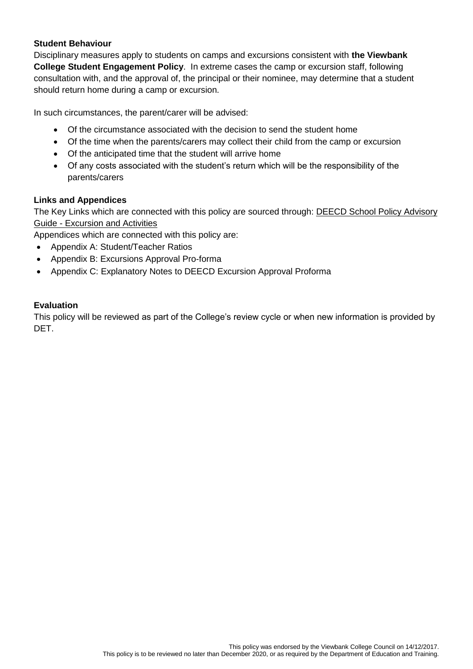## **Student Behaviour**

Disciplinary measures apply to students on camps and excursions consistent with **the Viewbank College Student Engagement Policy**. In extreme cases the camp or excursion staff, following consultation with, and the approval of, the principal or their nominee, may determine that a student should return home during a camp or excursion.

In such circumstances, the parent/carer will be advised:

- Of the circumstance associated with the decision to send the student home
- Of the time when the parents/carers may collect their child from the camp or excursion
- Of the anticipated time that the student will arrive home
- Of any costs associated with the student's return which will be the responsibility of the parents/carers

## **Links and Appendices**

The Key Links which are connected with this policy are sourced through: DEECD School Policy Advisory Guide - [Excursion and](http://www.education.vic.gov.au/school/principals/spag/safety/Pages/excursions.aspx#mainContent) Activities

Appendices which are connected with this policy are:

- Appendix A: Student/Teacher Ratios
- Appendix B: Excursions Approval Pro-forma
- Appendix C: Explanatory Notes to DEECD Excursion Approval Proforma

## **Evaluation**

This policy will be reviewed as part of the College's review cycle or when new information is provided by DET.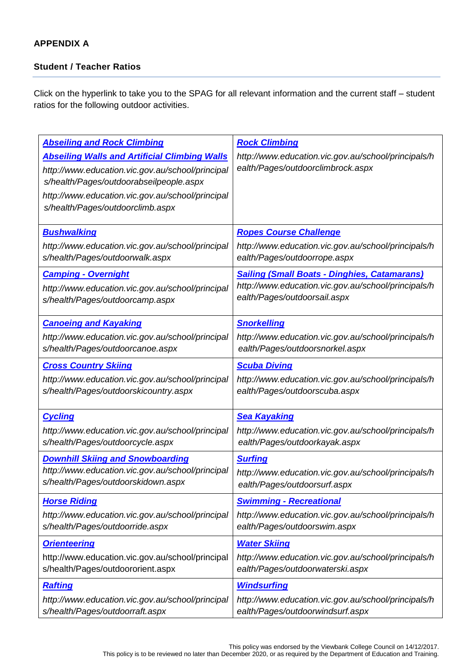## **APPENDIX A**

## **Student / Teacher Ratios**

Click on the hyperlink to take you to the SPAG for all relevant information and the current staff – student ratios for the following outdoor activities.

| <b>Abseiling and Rock Climbing</b><br><b>Abseiling Walls and Artificial Climbing Walls</b><br>http://www.education.vic.gov.au/school/principal<br>s/health/Pages/outdoorabseilpeople.aspx<br>http://www.education.vic.gov.au/school/principal<br>s/health/Pages/outdoorclimb.aspx | <b>Rock Climbing</b><br>http://www.education.vic.gov.au/school/principals/h<br>ealth/Pages/outdoorclimbrock.aspx |
|-----------------------------------------------------------------------------------------------------------------------------------------------------------------------------------------------------------------------------------------------------------------------------------|------------------------------------------------------------------------------------------------------------------|
| <b>Bushwalking</b>                                                                                                                                                                                                                                                                | <b>Ropes Course Challenge</b>                                                                                    |
| http://www.education.vic.gov.au/school/principal                                                                                                                                                                                                                                  | http://www.education.vic.gov.au/school/principals/h                                                              |
| s/health/Pages/outdoorwalk.aspx                                                                                                                                                                                                                                                   | ealth/Pages/outdoorrope.aspx                                                                                     |
| <b>Camping - Overnight</b>                                                                                                                                                                                                                                                        | <b>Sailing (Small Boats - Dinghies, Catamarans)</b>                                                              |
| http://www.education.vic.gov.au/school/principal                                                                                                                                                                                                                                  | http://www.education.vic.gov.au/school/principals/h                                                              |
| s/health/Pages/outdoorcamp.aspx                                                                                                                                                                                                                                                   | ealth/Pages/outdoorsail.aspx                                                                                     |
| <b>Canoeing and Kayaking</b>                                                                                                                                                                                                                                                      | <b>Snorkelling</b>                                                                                               |
| http://www.education.vic.gov.au/school/principal                                                                                                                                                                                                                                  | http://www.education.vic.gov.au/school/principals/h                                                              |
| s/health/Pages/outdoorcanoe.aspx                                                                                                                                                                                                                                                  | ealth/Pages/outdoorsnorkel.aspx                                                                                  |
| <b>Cross Country Skiing</b>                                                                                                                                                                                                                                                       | <b>Scuba Diving</b>                                                                                              |
| http://www.education.vic.gov.au/school/principal                                                                                                                                                                                                                                  | http://www.education.vic.gov.au/school/principals/h                                                              |
| s/health/Pages/outdoorskicountry.aspx                                                                                                                                                                                                                                             | ealth/Pages/outdoorscuba.aspx                                                                                    |
| <b>Cycling</b>                                                                                                                                                                                                                                                                    | <b>Sea Kayaking</b>                                                                                              |
| http://www.education.vic.gov.au/school/principal                                                                                                                                                                                                                                  | http://www.education.vic.gov.au/school/principals/h                                                              |
| s/health/Pages/outdoorcycle.aspx                                                                                                                                                                                                                                                  | ealth/Pages/outdoorkayak.aspx                                                                                    |
| <b>Downhill Skiing and Snowboarding</b>                                                                                                                                                                                                                                           | <b>Surfing</b>                                                                                                   |
| http://www.education.vic.gov.au/school/principal                                                                                                                                                                                                                                  | http://www.education.vic.gov.au/school/principals/h                                                              |
| s/health/Pages/outdoorskidown.aspx                                                                                                                                                                                                                                                | ealth/Pages/outdoorsurf.aspx                                                                                     |
| <b>Horse Riding</b>                                                                                                                                                                                                                                                               | <b>Swimming - Recreational</b>                                                                                   |
| http://www.education.vic.gov.au/school/principal                                                                                                                                                                                                                                  | http://www.education.vic.gov.au/school/principals/h                                                              |
| s/health/Pages/outdoorride.aspx                                                                                                                                                                                                                                                   | ealth/Pages/outdoorswim.aspx                                                                                     |
| <b>Orienteering</b>                                                                                                                                                                                                                                                               | <b>Water Skiing</b>                                                                                              |
| http://www.education.vic.gov.au/school/principal                                                                                                                                                                                                                                  | http://www.education.vic.gov.au/school/principals/h                                                              |
| s/health/Pages/outdoororient.aspx                                                                                                                                                                                                                                                 | ealth/Pages/outdoorwaterski.aspx                                                                                 |
| <b>Rafting</b>                                                                                                                                                                                                                                                                    | <b>Windsurfing</b>                                                                                               |
| http://www.education.vic.gov.au/school/principal                                                                                                                                                                                                                                  | http://www.education.vic.gov.au/school/principals/h                                                              |
| s/health/Pages/outdoorraft.aspx                                                                                                                                                                                                                                                   | ealth/Pages/outdoorwindsurf.aspx                                                                                 |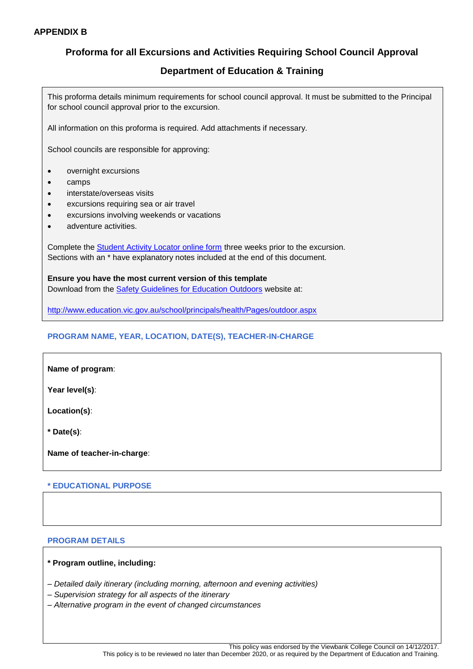## **Proforma for all Excursions and Activities Requiring School Council Approval**

## **Department of Education & Training**

This proforma details minimum requirements for school council approval. It must be submitted to the Principal for school council approval prior to the excursion.

All information on this proforma is required. Add attachments if necessary.

School councils are responsible for approving:

- overnight excursions
- camps
- interstate/overseas visits
- excursions requiring sea or air travel
- excursions involving weekends or vacations
- **•** adventure activities

Complete the [Student Activity Locator online form](https://www.eduweb.vic.gov.au/forms/school/sal/Default.asp) three weeks prior to the excursion. Sections with an \* have explanatory notes included at the end of this document.

**Ensure you have the most current version of this template** Download from the [Safety Guidelines for Education Outdoors](http://www.education.vic.gov.au/school/principals/health/Pages/outdoor.aspx) website at:

<http://www.education.vic.gov.au/school/principals/health/Pages/outdoor.aspx>

### **PROGRAM NAME, YEAR, LOCATION, DATE(S), TEACHER-IN-CHARGE**

|  | Name of program: |
|--|------------------|
|--|------------------|

**Year level(s)**:

**Location(s)**:

**\* Date(s)**:

**Name of teacher-in-charge**:

### **\* EDUCATIONAL PURPOSE**

### **PROGRAM DETAILS**

### **\* Program outline, including:**

- *– Detailed daily itinerary (including morning, afternoon and evening activities)*
- *– Supervision strategy for all aspects of the itinerary*
- *– Alternative program in the event of changed circumstances*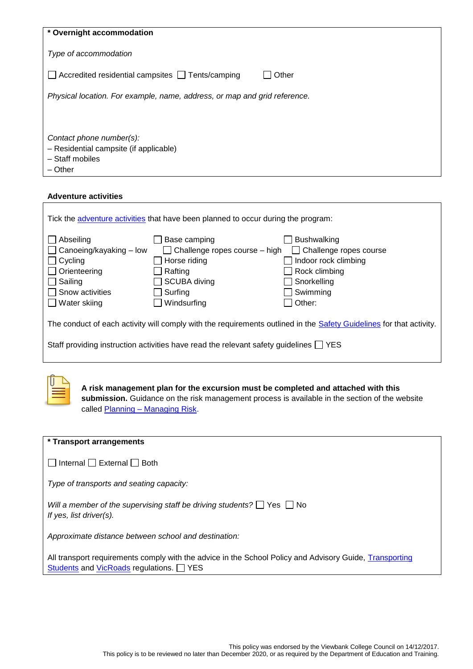| * Overnight accommodation                                                                        |       |  |
|--------------------------------------------------------------------------------------------------|-------|--|
| Type of accommodation                                                                            |       |  |
| Accredited residential campsites Tents/camping                                                   | Other |  |
| Physical location. For example, name, address, or map and grid reference.                        |       |  |
|                                                                                                  |       |  |
| Contact phone number(s):<br>- Residential campsite (if applicable)<br>- Staff mobiles<br>- Other |       |  |

### **Adventure activities**

 $\mathbf{r}$ 

| Tick the adventure activities that have been planned to occur during the program:                                   |                                                                                                                                    |                                                                                                                                   |  |  |
|---------------------------------------------------------------------------------------------------------------------|------------------------------------------------------------------------------------------------------------------------------------|-----------------------------------------------------------------------------------------------------------------------------------|--|--|
| Abseiling<br>Canoeing/kayaking - low<br>Cycling<br>Orienteering<br>Sailing<br>Snow activities<br>Water skiing       | Base camping<br>$\Box$ Challenge ropes course $-$ high<br>Horse riding<br>Rafting<br><b>SCUBA</b> diving<br>Surfing<br>Windsurfing | <b>Bushwalking</b><br>$\Box$ Challenge ropes course<br>Indoor rock climbing<br>Rock climbing<br>Snorkelling<br>Swimming<br>Other: |  |  |
| The conduct of each activity will comply with the requirements outlined in the Safety Guidelines for that activity. |                                                                                                                                    |                                                                                                                                   |  |  |
| Staff providing instruction activities have read the relevant safety quidelines $\Box$ YES                          |                                                                                                                                    |                                                                                                                                   |  |  |



**A risk management plan for the excursion must be completed and attached with this submission.** Guidance on the risk management process is available in the section of the website called Planning - [Managing Risk.](http://www.education.vic.gov.au/school/principals/health/Pages/outdoorrisk.aspx)

| * Transport arrangements                                                                                                                           |
|----------------------------------------------------------------------------------------------------------------------------------------------------|
| Internal External Both                                                                                                                             |
| Type of transports and seating capacity:                                                                                                           |
| Will a member of the supervising staff be driving students? $\Box$ Yes $\Box$ No<br>If yes, list driver(s).                                        |
| Approximate distance between school and destination:                                                                                               |
| All transport requirements comply with the advice in the School Policy and Advisory Guide, Transporting<br>Students and VicRoads regulations. TYES |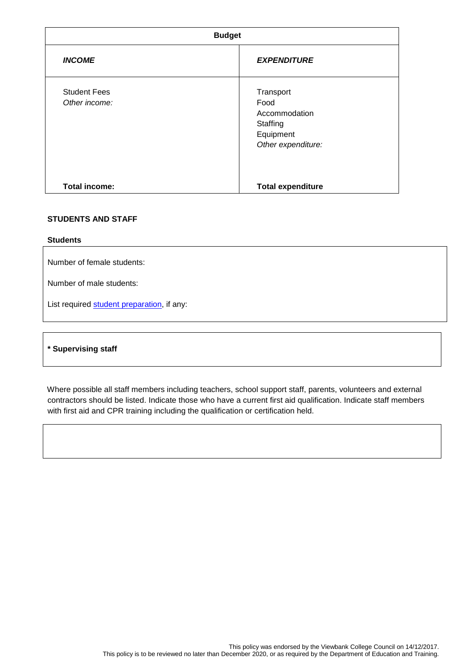| <b>Budget</b>                        |                                                                                   |  |
|--------------------------------------|-----------------------------------------------------------------------------------|--|
| <b>INCOME</b>                        | <b>EXPENDITURE</b>                                                                |  |
| <b>Student Fees</b><br>Other income: | Transport<br>Food<br>Accommodation<br>Staffing<br>Equipment<br>Other expenditure: |  |
| <b>Total income:</b>                 | <b>Total expenditure</b>                                                          |  |

### **STUDENTS AND STAFF**

### **Students**

Number of female students:

Number of male students:

List required [student preparation,](http://www.education.vic.gov.au/school/principals/health/Pages/outdoorresprepare.aspx) if any:

### **\* Supervising staff**

Where possible all staff members including teachers, school support staff, parents, volunteers and external contractors should be listed. Indicate those who have a current first aid qualification. Indicate staff members with first aid and CPR training including the qualification or certification held.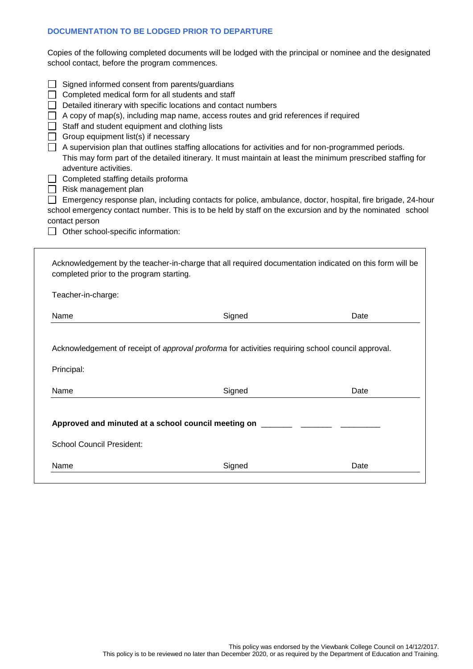### **DOCUMENTATION TO BE LODGED PRIOR TO DEPARTURE**

Copies of the following completed documents will be lodged with the principal or nominee and the designated school contact, before the program commences.

| Signed informed consent from parents/guardians<br>Completed medical form for all students and staff<br>Detailed itinerary with specific locations and contact numbers<br>A copy of map(s), including map name, access routes and grid references if required<br>Staff and student equipment and clothing lists<br>Group equipment list(s) if necessary<br>A supervision plan that outlines staffing allocations for activities and for non-programmed periods.<br>This may form part of the detailed itinerary. It must maintain at least the minimum prescribed staffing for<br>adventure activities.<br>Completed staffing details proforma<br>Risk management plan<br>Emergency response plan, including contacts for police, ambulance, doctor, hospital, fire brigade, 24-hour<br>school emergency contact number. This is to be held by staff on the excursion and by the nominated school<br>contact person<br>Other school-specific information: |        |      |  |
|----------------------------------------------------------------------------------------------------------------------------------------------------------------------------------------------------------------------------------------------------------------------------------------------------------------------------------------------------------------------------------------------------------------------------------------------------------------------------------------------------------------------------------------------------------------------------------------------------------------------------------------------------------------------------------------------------------------------------------------------------------------------------------------------------------------------------------------------------------------------------------------------------------------------------------------------------------|--------|------|--|
| Acknowledgement by the teacher-in-charge that all required documentation indicated on this form will be<br>completed prior to the program starting.                                                                                                                                                                                                                                                                                                                                                                                                                                                                                                                                                                                                                                                                                                                                                                                                      |        |      |  |
| Teacher-in-charge:                                                                                                                                                                                                                                                                                                                                                                                                                                                                                                                                                                                                                                                                                                                                                                                                                                                                                                                                       |        |      |  |
| Name                                                                                                                                                                                                                                                                                                                                                                                                                                                                                                                                                                                                                                                                                                                                                                                                                                                                                                                                                     | Signed | Date |  |
| Acknowledgement of receipt of approval proforma for activities requiring school council approval.<br>Principal:                                                                                                                                                                                                                                                                                                                                                                                                                                                                                                                                                                                                                                                                                                                                                                                                                                          |        |      |  |
| Name                                                                                                                                                                                                                                                                                                                                                                                                                                                                                                                                                                                                                                                                                                                                                                                                                                                                                                                                                     | Signed | Date |  |
| Approved and minuted at a school council meeting on<br><b>School Council President:</b>                                                                                                                                                                                                                                                                                                                                                                                                                                                                                                                                                                                                                                                                                                                                                                                                                                                                  |        |      |  |
| Name                                                                                                                                                                                                                                                                                                                                                                                                                                                                                                                                                                                                                                                                                                                                                                                                                                                                                                                                                     | Signed | Date |  |